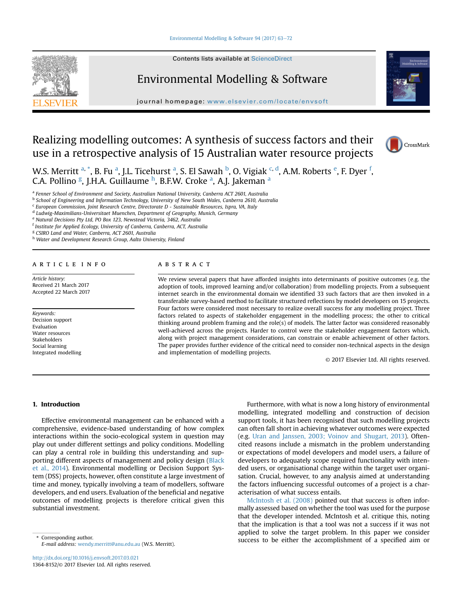#### [Environmental Modelling & Software 94 \(2017\) 63](http://dx.doi.org/10.1016/j.envsoft.2017.03.021)-[72](http://dx.doi.org/10.1016/j.envsoft.2017.03.021)



Contents lists available at ScienceDirect

# Environmental Modelling & Software

journal homepage: [www.elsevier.com/locate/envsoft](http://www.elsevier.com/locate/envsoft)

# Realizing modelling outcomes: A synthesis of success factors and their use in a retrospective analysis of 15 Australian water resource projects





W.S. Merritt <sup>a, \*</sup>, B. Fu <sup>a</sup>, J.L. Ticehurst <sup>a</sup>, S. El Sawah <sup>b</sup>, O. Vigiak <sup>c, d</sup>, A.M. Roberts <sup>e</sup>, F. Dyer <sup>f</sup>, C.A. Pollino <sup>g</sup>, J.H.A. Guillaume <sup>h</sup>, B.F.W. Croke <sup>a</sup>, A.J. Jakeman <sup>a</sup>

a Fenner School of Environment and Society, Australian National University, Canberra ACT 2601, Australia

<sup>b</sup> School of Engineering and Information Technology, University of New South Wales, Canberra 2610, Australia

 $c$  European Commission, Joint Research Centre, Directorate D - Sustainable Resources, Ispra, VA, Italy

<sup>d</sup> Ludwig-Maximilians-Universitaet Muenchen, Department of Geography, Munich, Germany

<sup>e</sup> Natural Decisions Pty Ltd, PO Box 123, Newstead Victoria, 3462, Australia

<sup>f</sup> Institute for Applied Ecology, University of Canberra, Canberra, ACT, Australia

<sup>g</sup> CSIRO Land and Water, Canberra, ACT 2601, Australia

h Water and Development Research Group, Aalto University, Finland

## article info

Article history: Received 21 March 2017 Accepted 22 March 2017

Keywords: Decision support Evaluation Water resources Stakeholders Social learning Integrated modelling

# **ABSTRACT**

We review several papers that have afforded insights into determinants of positive outcomes (e.g. the adoption of tools, improved learning and/or collaboration) from modelling projects. From a subsequent internet search in the environmental domain we identified 33 such factors that are then invoked in a transferable survey-based method to facilitate structured reflections by model developers on 15 projects. Four factors were considered most necessary to realize overall success for any modelling project. Three factors related to aspects of stakeholder engagement in the modelling process; the other to critical thinking around problem framing and the role(s) of models. The latter factor was considered reasonably well-achieved across the projects. Harder to control were the stakeholder engagement factors which, along with project management considerations, can constrain or enable achievement of other factors. The paper provides further evidence of the critical need to consider non-technical aspects in the design and implementation of modelling projects.

© 2017 Elsevier Ltd. All rights reserved.

# 1. Introduction

Effective environmental management can be enhanced with a comprehensive, evidence-based understanding of how complex interactions within the socio-ecological system in question may play out under different settings and policy conditions. Modelling can play a central role in building this understanding and supporting different aspects of management and policy design ([Black](#page-8-0) [et al., 2014](#page-8-0)). Environmental modelling or Decision Support System (DSS) projects, however, often constitute a large investment of time and money, typically involving a team of modellers, software developers, and end users. Evaluation of the beneficial and negative outcomes of modelling projects is therefore critical given this substantial investment.

E-mail address: [wendy.merritt@anu.edu.au](mailto:wendy.merritt@anu.edu.au) (W.S. Merritt).

Furthermore, with what is now a long history of environmental modelling, integrated modelling and construction of decision support tools, it has been recognised that such modelling projects can often fall short in achieving whatever outcomes were expected (e.g. [Uran and Janssen, 2003; Voinov and Shugart, 2013\)](#page-9-0). Oftencited reasons include a mismatch in the problem understanding or expectations of model developers and model users, a failure of developers to adequately scope required functionality with intended users, or organisational change within the target user organisation. Crucial, however, to any analysis aimed at understanding the factors influencing successful outcomes of a project is a characterisation of what success entails.

[McIntosh et al. \(2008\)](#page-9-0) pointed out that success is often informally assessed based on whether the tool was used for the purpose that the developer intended. McIntosh et al. critique this, noting that the implication is that a tool was not a success if it was not applied to solve the target problem. In this paper we consider Corresponding author.<br>Figure 1980 and the accomplishment of a specified aim or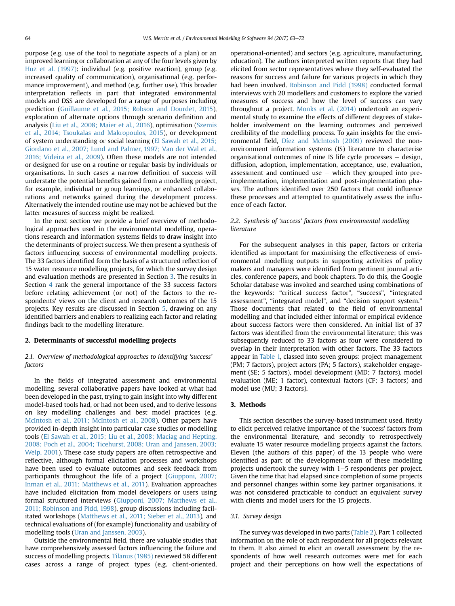purpose (e.g. use of the tool to negotiate aspects of a plan) or an improved learning or collaboration at any of the four levels given by [Huz et al. \(1997\)](#page-8-0): individual (e.g. positive reaction), group (e.g. increased quality of communication), organisational (e.g. performance improvement), and method (e.g. further use). This broader interpretation reflects in part that integrated environmental models and DSS are developed for a range of purposes including prediction ([Guillaume et al., 2015; Robson and Dourdet, 2015\)](#page-8-0), exploration of alternate options through scenario definition and analysis [\(Liu et al., 2008; Maier et al., 2016](#page-8-0)), optimisation ([Szemis](#page-9-0) [et al., 2014; Tsoukalas and Makropoulos, 2015\)](#page-9-0), or development of system understanding or social learning [\(El Sawah et al., 2015;](#page-8-0) [Giordano et al., 2007; Lund and Palmer, 1997; Van der Wal et al.,](#page-8-0) [2016; Videira et al., 2009\)](#page-8-0). Often these models are not intended or designed for use on a routine or regular basis by individuals or organisations. In such cases a narrow definition of success will understate the potential benefits gained from a modelling project, for example, individual or group learnings, or enhanced collaborations and networks gained during the development process. Alternatively the intended routine use may not be achieved but the latter measures of success might be realized.

In the next section we provide a brief overview of methodological approaches used in the environmental modelling, operations research and information systems fields to draw insight into the determinants of project success. We then present a synthesis of factors influencing success of environmental modelling projects. The 33 factors identified form the basis of a structured reflection of 15 water resource modelling projects, for which the survey design and evaluation methods are presented in Section 3. The results in Section [4](#page-3-0) rank the general importance of the 33 success factors before relating achievement (or not) of the factors to the respondents' views on the client and research outcomes of the 15 projects. Key results are discussed in Section [5,](#page-5-0) drawing on any identified barriers and enablers to realizing each factor and relating findings back to the modelling literature.

## 2. Determinants of successful modelling projects

## 2.1. Overview of methodological approaches to identifying 'success' factors

In the fields of integrated assessment and environmental modelling, several collaborative papers have looked at what had been developed in the past, trying to gain insight into why different model-based tools had, or had not been used, and to derive lessons on key modelling challenges and best model practices (e.g. [McIntosh et al., 2011; McIntosh et al., 2008\)](#page-9-0). Other papers have provided in-depth insight into particular case studies or modelling tools [\(El Sawah et al., 2015; Liu et al., 2008; Maciag and Hepting,](#page-8-0) [2008; Poch et al., 2004; Ticehurst, 2008; Uran and Janssen, 2003;](#page-8-0) [Welp, 2001\)](#page-8-0). These case study papers are often retrospective and reflective, although formal elicitation processes and workshops have been used to evaluate outcomes and seek feedback from participants throughout the life of a project [\(Giupponi, 2007;](#page-8-0) [Inman et al., 2011; Matthews et al., 2011](#page-8-0)). Evaluation approaches have included elicitation from model developers or users using formal structured interviews [\(Giupponi, 2007; Matthews et al.,](#page-8-0) [2011; Robinson and Pidd, 1998](#page-8-0)), group discussions including facilitated workshops [\(Matthews et al., 2011; Sieber et al., 2013\)](#page-9-0), and technical evaluations of (for example) functionality and usability of modelling tools [\(Uran and Janssen, 2003](#page-9-0)).

Outside the environmental field, there are valuable studies that have comprehensively assessed factors influencing the failure and success of modelling projects. [Tilanus \(1985\)](#page-9-0) reviewed 58 different cases across a range of project types (e.g. client-oriented, operational-oriented) and sectors (e.g. agriculture, manufacturing, education). The authors interpreted written reports that they had elicited from sector representatives where they self-evaluated the reasons for success and failure for various projects in which they had been involved. [Robinson and Pidd \(1998\)](#page-9-0) conducted formal interviews with 20 modellers and customers to explore the varied measures of success and how the level of success can vary throughout a project. [Monks et al. \(2014\)](#page-9-0) undertook an experimental study to examine the effects of different degrees of stakeholder involvement on the learning outcomes and perceived credibility of the modelling process. To gain insights for the environmental field, [Díez and McIntosh \(2009\)](#page-8-0) reviewed the nonenvironment information systems (IS) literature to characterise organisational outcomes of nine IS life cycle processes  $-$  design, diffusion, adoption, implementation, acceptance, use, evaluation, assessment and continued use  $-$  which they grouped into preimplementation, implementation and post-implementation phases. The authors identified over 250 factors that could influence these processes and attempted to quantitatively assess the influence of each factor.

## 2.2. Synthesis of 'success' factors from environmental modelling literature

For the subsequent analyses in this paper, factors or criteria identified as important for maximising the effectiveness of environmental modelling outputs in supporting activities of policy makers and managers were identified from pertinent journal articles, conference papers, and book chapters. To do this, the Google Scholar database was invoked and searched using combinations of the keywords: "critical success factor", "success", "integrated assessment", "integrated model", and "decision support system." Those documents that related to the field of environmental modelling and that included either informal or empirical evidence about success factors were then considered. An initial list of 37 factors was identified from the environmental literature; this was subsequently reduced to 33 factors as four were considered to overlap in their interpretation with other factors. The 33 factors appear in [Table 1,](#page-2-0) classed into seven groups: project management (PM; 7 factors), project actors (PA; 5 factors), stakeholder engagement (SE; 5 factors), model development (MD; 7 factors), model evaluation (ME; 1 factor), contextual factors (CF; 3 factors) and model use (MU; 3 factors).

## 3. Methods

This section describes the survey-based instrument used, firstly to elicit perceived relative importance of the 'success' factors from the environmental literature, and secondly to retrospectively evaluate 15 water resource modelling projects against the factors. Eleven (the authors of this paper) of the 13 people who were identified as part of the development team of these modelling projects undertook the survey with  $1-5$  respondents per project. Given the time that had elapsed since completion of some projects and personnel changes within some key partner organisations, it was not considered practicable to conduct an equivalent survey with clients and model users for the 15 projects.

#### 3.1. Survey design

The survey was developed in two parts ([Table 2](#page-2-0)). Part 1 collected information on the role of each respondent for all projects relevant to them. It also aimed to elicit an overall assessment by the respondents of how well research outcomes were met for each project and their perceptions on how well the expectations of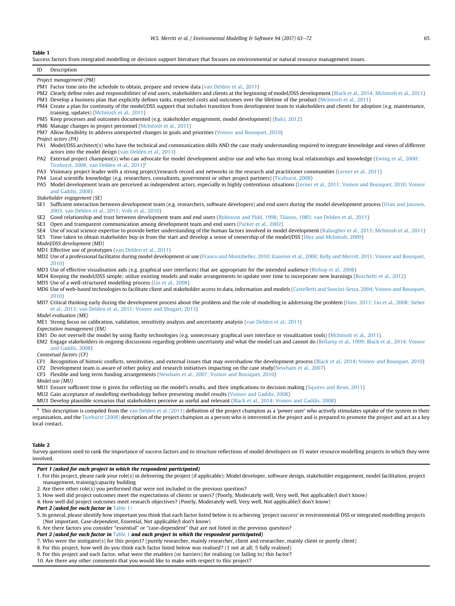#### <span id="page-2-0"></span>Table 1

Success factors from integrated modelling or decision support literature that focuses on environmental or natural resource management issues.

#### ID Description

- Project management (PM)
- PM1 Factor time into the schedule to obtain, prepare and review data [\(van Delden et al., 2011\)](#page-9-0)
- PM2 Clearly define roles and responsibilities of end users, stakeholders and clients at the beginning of model/DSS development [\(Black et al., 2014; McIntosh et al., 2011](#page-8-0))
- PM3 Develop a business plan that explicitly defines tasks, expected costs and outcomes over the lifetime of the product [\(McIntosh et al., 2011](#page-9-0))
- PM4 Create a plan for continuity of the model/DSS support that includes transition from development team to stakeholders and clients for adoption (e.g. maintenance, training, updates) [\(McIntosh et al., 2011\)](#page-9-0)
- PM5 Keep processes and outcomes documented (e.g. stakeholder engagement, model development) ([Balci, 2012\)](#page-8-0)
- PM6 Manage changes in project personnel [\(McIntosh et al., 2011\)](#page-9-0)
- PM7 Allow flexibility to address unexpected changes in goals and priorities [\(Voinov and Bousquet, 2010\)](#page-9-0)
- Project actors (PA)
- PA1 Model/DSS architect(s) who have the technical and communication skills AND the case study understanding required to integrate knowledge and views of different actors into the model design [\(van Delden et al., 2011](#page-9-0))
- PA2 External project champion(s) who can advocate for model development and/or use and who has strong local relationships and knowledge ([Ewing et al., 2000;](#page-8-0) [Ticehurst, 2008; van Delden et al., 2011\)](#page-8-0)<sup>a</sup>
- PA3 Visionary project leader with a strong project/research record and networks in the research and practitioner communities [\(Lerner et al., 2011](#page-8-0))
- PA4 Local scientific knowledge (e.g. researchers, consultants, government or other project partners) ([Ticehurst, 2008\)](#page-9-0)
- PA5 Model development team are perceived as independent actors, especially in highly contentious situations ([Lerner et al., 2011; Voinov and Bousquet, 2010; Voinov](#page-8-0) [and Gaddis, 2008\)](#page-8-0)
- Stakeholder engagement (SE)
- SE1 Sufficient interaction between development team (e.g. researchers, software developers) and end users during the model development process ([Uran and Janssen,](#page-9-0) [2003; van Delden et al., 2011; Volk et al., 2010\)](#page-9-0)
- SE2 Good relationship and trust between development team and end users [\(Robinson and Pidd, 1998; Tilanus, 1985; van Delden et al., 2011\)](#page-9-0)
- SE3 Open and transparent communication among development team and end users [\(Parker et al., 2002](#page-9-0))
- SE4 Use of social science expertise to provide better understanding of the human factors involved in model development ([Kalaugher et al., 2013; McIntosh et al., 2011](#page-8-0))
- SE5 Time taken to obtain stakeholder buy-in from the start and develop a sense of ownership of the model/DSS ([Díez and McIntosh, 2009](#page-8-0))
- Model/DSS development (MD)
- MD1 Effective use of prototypes [\(van Delden et al., 2011](#page-9-0))
- MD2 Use of a professional facilitator during model development or use ([Franco and Montibeller, 2010; Kasemir et al., 2000; Kelly and Merritt, 2011; Voinov and Bousquet,](#page-8-0) [2010](#page-8-0))
- MD3 Use of effective visualisation aids (e.g. graphical user interfaces) that are appropriate for the intended audience [\(Bishop et al., 2008](#page-8-0))
- MD4 Keeping the model/DSS simple; utilize existing models and make arrangements to update over time to incorporate new learnings ([Boschetti et al., 2012\)](#page-8-0) MD5 Use of a well-structured modelling process [\(Liu et al., 2008\)](#page-8-0)
- 
- MD6 Use of web-based technologies to facilitate client and stakeholder access to data, information and models ([Castelletti and Soncini-Sessa, 2004; Voinov and Bousquet,](#page-8-0) [2010](#page-8-0))
- MD7 Critical thinking early during the development process about the problem and the role of modelling in addressing the problem ([Hare, 2011; Liu et al., 2008; Sieber](#page-8-0) [et al., 2013; van Delden et al., 2011; Voinov and Shugart, 2013](#page-8-0))

Model evaluation (ME)

- ME1 Strong focus on calibration, validation, sensitivity analysis and uncertainty analysis ([van Delden et al., 2011](#page-9-0))
- Expectation management (EM)
- EM1 Do not oversell the model by using flashy technologies (e.g. unnecessary graphical user interface or visualization tools) ([McIntosh et al., 2011](#page-9-0))
- EM2 Engage stakeholders in ongoing discussions regarding problem uncertainty and what the model can and cannot do [\(Bellamy et al., 1999; Black et al., 2014; Voinov](#page-8-0) [and Gaddis, 2008\)](#page-8-0)
- Contextual factors (CF)
- CF1 Recognition of historic conflicts, sensitivities, and external issues that may overshadow the development process [\(Black et al., 2014; Voinov and Bousquet, 2010](#page-8-0))
- CF2 Development team is aware of other policy and research initiatives impacting on the case study([Newham et al., 2007](#page-9-0))
- CF3 Flexible and long term funding arrangements ([Newham et al., 2007; Voinov and Bousquet, 2010](#page-9-0))
- Model use (MU)
- MU1 Ensure sufficient time is given for reflecting on the model's results, and their implications to decision making [\(Squires and Renn, 2011\)](#page-9-0)
- MU2 Gain acceptance of modelling methodology before presenting model results [\(Voinov and Gaddis, 2008](#page-9-0))
- MU3 Develop plausible scenarios that stakeholders perceive as useful and relevant [\(Black et al., 2014; Voinov and Gaddis, 2008](#page-8-0))

a This description is compiled from the [van Delden et al. \(2011\)](#page-9-0) definition of the project champion as a 'power user' who actively stimulates uptake of the system in their organisation, and the [Ticehurst \(2008\)](#page-9-0) description of the project champion as a person who is interested in the project and is prepared to promote the project and act as a key local contact.

#### Table 2

Survey questions used to rank the importance of success factors and to structure reflections of model developers on 15 water resource modelling projects in which they were involved.

#### Part 1 (asked for each project in which the respondent participated)

- 1. For this project, please rank your role(s) in delivering the project (if applicable): Model developer, software design, stakeholder engagement, model facilitation, project management, training/capacity building
- 2. Are there other role(s) you performed that were not included in the previous question?
- 3. How well did project outcomes meet the expectations of clients or users? (Poorly, Moderately well, Very well, Not applicable/I don't know)
- 4. How well did project outcomes meet research objectives? (Poorly, Moderately well, Very well, Not applicable/I don't know)

### Part 2 (asked for each factor in Table 1)

5. In general, please identify how important you think that each factor listed below is to achieving 'project success' in environmental DSS or integrated modelling projects (Not important, Case-dependent, Essential, Not applicable/I don't know)

6. Are there factors you consider "essential" or "case-dependent" that are not listed in the previous question?

## Part 2 (asked for each factor in Table 1 and each project in which the respondent participated)

- 7. Who were the instigator(s) for this project? (purely researcher, mainly researcher, client and researcher, mainly client or purely client)
- 8. For this project, how well do you think each factor listed below was realised? (1 not at all; 5 fully realised)
- 9. For this project and each factor, what were the enablers (or barriers) for realising (or failing to) this factor?

10. Are there any other comments that you would like to make with respect to this project?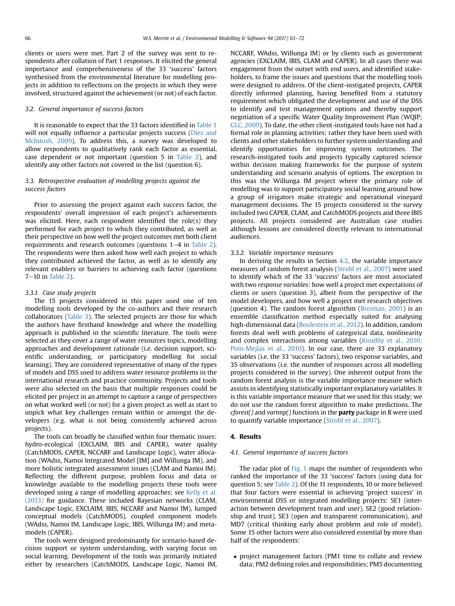<span id="page-3-0"></span>clients or users were met. Part 2 of the survey was sent to respondents after collation of Part 1 responses. It elicited the general importance and comprehensiveness of the 33 'success' factors synthesised from the environmental literature for modelling projects in addition to reflections on the projects in which they were involved, structured against the achievement (or not) of each factor.

## 3.2. General importance of success factors

It is reasonable to expect that the 33 factors identified in [Table 1](#page-2-0) will not equally influence a particular projects success ([Díez and](#page-8-0) [McIntosh, 2009](#page-8-0)). To address this, a survey was developed to allow respondents to qualitatively rank each factor as essential, case dependent or not important (question 5 in [Table 2](#page-2-0)), and identify any other factors not covered in the list (question 6).

## 3.3. Retrospective evaluation of modelling projects against the success factors

Prior to assessing the project against each success factor, the respondents' overall impression of each project's achievements was elicited. Here, each respondent identified the role(s) they performed for each project to which they contributed, as well as their perspective on how well the project outcomes met both client requirements and research outcomes (questions  $1-4$  in [Table 2\)](#page-2-0). The respondents were then asked how well each project to which they contributed achieved the factor, as well as to identify any relevant enablers or barriers to achieving each factor (questions  $7-10$  in [Table 2\)](#page-2-0).

## 3.3.1. Case study projects

The 15 projects considered in this paper used one of ten modelling tools developed by the co-authors and their research collaborators [\(Table 3\)](#page-4-0). The selected projects are those for which the authors have firsthand knowledge and where the modelling approach is published in the scientific literature. The tools were selected as they cover a range of water resources topics, modelling approaches and development rationale (i.e. decision support, scientific understanding, or participatory modelling for social learning). They are considered representative of many of the types of models and DSS used to address water resource problems in the international research and practice community. Projects and tools were also selected on the basis that multiple responses could be elicited per project in an attempt to capture a range of perspectives on what worked well (or not) for a given project as well as start to unpick what key challenges remain within or amongst the developers (e.g. what is not being consistently achieved across projects).

The tools can broadly be classified within four thematic issues: hydro-ecological (EXCLAIM, IBIS and CAPER), water quality (CatchMODS, CAPER, NCCARF and Landscape Logic), water allocation (WAdss, Namoi Integrated Model [IM] and Willunga IM), and more holistic integrated assessment issues (CLAM and Namoi IM). Reflecting the different purpose, problem focus and data or knowledge available to the modelling projects these tools were developed using a range of modelling approaches; see [Kelly et al.](#page-8-0) [\(2013\)](#page-8-0) for guidance. These included Bayesian networks (CLAM, Landscape Logic, EXCLAIM, IBIS, NCCARF and Namoi IM), lumped conceptual models (CatchMODS), coupled component models (WAdss, Namoi IM, Landscape Logic, IBIS, Willunga IM) and metamodels (CAPER).

The tools were designed predominantly for scenario-based decision support or system understanding, with varying focus on social learning. Development of the tools was primarily initiated either by researchers (CatchMODS, Landscape Logic, Namoi IM, NCCARF, WAdss, Willunga IM) or by clients such as government agencies (EXCLAIM, IBIS, CLAM and CAPER). In all cases there was engagement from the outset with end users, and identified stakeholders, to frame the issues and questions that the modelling tools were designed to address. Of the client-instigated projects, CAPER directly informed planning, having benefited from a statutory requirement which obligated the development and use of the DSS to identify and test management options and thereby support negotiation of a specific Water Quality Improvement Plan (WQIP; [GLC, 2009\)](#page-8-0). To date, the other client-instigated tools have not had a formal role in planning activities; rather they have been used with clients and other stakeholders to further system understanding and identify opportunities for improving system outcomes. The research-instigated tools and projects typically captured science within decision making frameworks for the purpose of system understanding and scenario analysis of options. The exception to this was the Willunga IM project where the primary role of modelling was to support participatory social learning around how a group of irrigators make strategic and operational vineyard management decisions. The 15 projects considered in the survey included two CAPER, CLAM, and CatchMODS projects and three IBIS projects. All projects considered are Australian case studies although lessons are considered directly relevant to international audiences.

## 3.3.2. Variable importance measures

In deriving the results in Section [4.2,](#page-4-0) the variable importance measures of random forest analysis ([Strobl et al., 2007](#page-9-0)) were used to identify which of the 33 'success' factors are most associated with two response variables: how well a project met expectations of clients or users (question 3), albeit from the perspective of the model developers, and how well a project met research objectives (question 4). The random forest algorithm [\(Breiman, 2001\)](#page-8-0) is an ensemble classification method especially suited for analysing high-dimensional data ([Boulesteix et al., 2012\)](#page-8-0). In addition, random forests deal well with problems of categorical data, nonlinearity and complex interactions among variables ([Knudby et al., 2010;](#page-8-0) [Pino-Mejías et al., 2010\)](#page-8-0). In our case, there are 33 explanatory variables (i.e. the 33 'success' factors), two response variables, and 35 observations (i.e. the number of responses across all modelling projects considered in the survey). One inherent output from the random forest analysis is the variable importance measure which assists in identifying statistically important explanatory variables. It is this variable importance measure that we used for this study; we do not use the random forest algorithm to make predictions. The  $cforest()$  and varimp() functions in the **party** package in R were used to quantify variable importance [\(Strobl et al., 2007\)](#page-9-0).

## 4. Results

#### 4.1. General importance of success factors

The radar plot of [Fig. 1](#page-5-0) maps the number of respondents who ranked the importance of the 33 'success' factors (using data for question 5; see [Table 2](#page-2-0)). Of the 11 respondents, 10 or more believed that four factors were essential in achieving 'project success' in environmental DSS or integrated modelling projects: SE1 (interaction between development team and user), SE2 (good relationship and trust), SE3 (open and transparent communication), and MD7 (critical thinking early about problem and role of model). Some 15 other factors were also considered essential by more than half of the respondents:

 project management factors (PM1 time to collate and review data; PM2 defining roles and responsibilities; PM5 documenting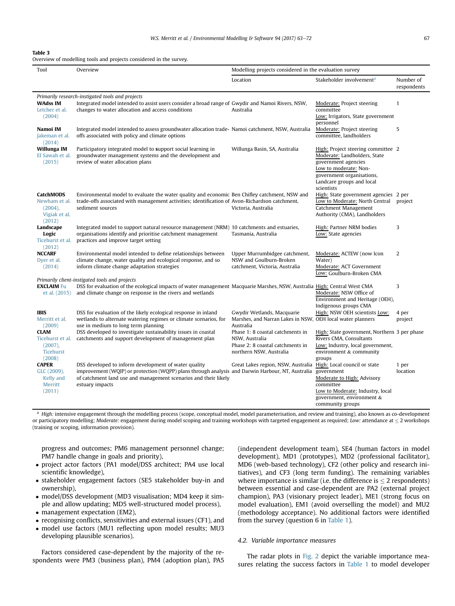#### <span id="page-4-0"></span>Table 3

Overview of modelling tools and projects considered in the survey.

| Tool                                                                        | Overview                                                                                                                                                                                                                                                  | Modelling projects considered in the evaluation survey                                                            |                                                                                                                                                                                            |                          |
|-----------------------------------------------------------------------------|-----------------------------------------------------------------------------------------------------------------------------------------------------------------------------------------------------------------------------------------------------------|-------------------------------------------------------------------------------------------------------------------|--------------------------------------------------------------------------------------------------------------------------------------------------------------------------------------------|--------------------------|
|                                                                             |                                                                                                                                                                                                                                                           | Location                                                                                                          | Stakeholder involvement <sup>a</sup>                                                                                                                                                       | Number of<br>respondents |
| Primarily research-instigated tools and projects                            |                                                                                                                                                                                                                                                           |                                                                                                                   |                                                                                                                                                                                            |                          |
| <b>WAdss IM</b><br>Letcher et al.<br>(2004)                                 | Integrated model intended to assist users consider a broad range of Gwydir and Namoi Rivers, NSW,<br>changes to water allocation and access conditions                                                                                                    | Australia                                                                                                         | Moderate: Project steering<br>committee<br>Low: Irrigators, State government<br>personnel                                                                                                  | $\mathbf{1}$             |
| Namoi IM<br>Jakeman et al.<br>(2014)                                        | Integrated model intended to assess groundwater allocation trade- Namoi catchment, NSW, Australia<br>offs associated with policy and climate options                                                                                                      |                                                                                                                   | Moderate: Project steering<br>committee. landholders                                                                                                                                       | 5                        |
| Willunga IM<br>El Sawah et al.<br>(2015)                                    | Participatory integrated model to support social learning in<br>groundwater management systems and the development and<br>review of water allocation plans                                                                                                | Willunga Basin, SA, Australia                                                                                     | High: Project steering committee 2<br>Moderate: Landholders, State<br>government agencies<br>Low to moderate: Non-<br>government organisations,<br>Landcare groups and local<br>scientists |                          |
| <b>CatchMODS</b><br>Newham et al.<br>$(2004)$ ,<br>Vigiak et al.<br>(2012)  | Environmental model to evaluate the water quality and economic Ben Chifley catchment, NSW and<br>trade-offs associated with management activities; identification of Avon-Richardson catchment,<br>sediment sources                                       | Victoria, Australia                                                                                               | High: State government agencies 2 per<br>Low to Moderate: North Central project<br>Catchment Management<br>Authority (CMA), Landholders                                                    |                          |
| Landscape<br>Logic<br>Ticehurst et al.<br>(2012)                            | Integrated model to support natural resource management (NRM) 10 catchments and estuaries,<br>organisations identify and prioritise catchment management<br>practices and improve target setting                                                          | Tasmania, Australia                                                                                               | High: Partner NRM bodies<br>Low: State agencies                                                                                                                                            | 3                        |
| <b>NCCARF</b><br>Dyer et al.<br>(2014)                                      | Environmental model intended to define relationships between<br>climate change, water quality and ecological response, and so<br>inform climate change adaptation strategies                                                                              | Upper Murrumbidgee catchment,<br>NSW and Goulburn-Broken<br>catchment, Victoria, Australia                        | Moderate: ACTEW (now Icon<br>Water)<br>Moderate: ACT Government<br>Low: Goulburn-Broken CMA                                                                                                | $\overline{2}$           |
| <b>EXCLAIM Fu</b>                                                           | Primarily client-instigated tools and projects<br>DSS for evaluation of the ecological impacts of water management Macquarie Marshes, NSW, Australia High: Central West CMA<br>$et al. (2015)$ and climate change on response in the rivers and wetlands  |                                                                                                                   | Moderate: NSW Office of<br>Environment and Heritage (OEH),<br>Indigenous groups CMA                                                                                                        | 3                        |
| <b>IBIS</b><br>Merritt et al.<br>(2009)                                     | DSS for evaluation of the likely ecological response in inland<br>wetlands to alternate watering regimes or climate scenarios, for<br>use in medium to long term planning                                                                                 | Gwydir Wetlands, Macquarie<br>Marshes, and Narran Lakes in NSW, OEH local water planners<br>Australia             | High: NSW OEH scientists Low:                                                                                                                                                              | 4 per<br>project         |
| <b>CLAM</b><br>Ticehurst et al.<br>$(2007)$ ,<br><b>Ticehurst</b><br>(2008) | DSS developed to investigate sustainability issues in coastal<br>catchments and support development of management plan                                                                                                                                    | Phase 1: 8 coastal catchments in<br>NSW, Australia<br>Phase 2: 8 coastal catchments in<br>northern NSW, Australia | High: State government, Northern 3 per phase<br>Rivers CMA, Consultants<br>Low: Industry, local government,<br>environment & community<br>groups                                           |                          |
| <b>CAPER</b><br>GLC (2009),<br>Kelly and<br>Merritt<br>(2011)               | DSS developed to inform development of water quality<br>improvement (WQIP) or protection (WQPP) plans through analysis and Darwin Harbour, NT, Australia government<br>of catchment land use and management scenarios and their likely<br>estuary impacts | Great Lakes region, NSW, Australia High: Local council or state                                                   | Moderate to High: Advisory<br>committee<br>Low to Moderate: Industry, local<br>government, environment &<br>community groups                                                               | 1 per<br>location        |

<sup>a</sup> High: intensive engagement through the modelling process (scope, conceptual model, model parameterisation, and review and training), also known as co-development or participatory modelling; Moderate: engagement during model scoping and training workshops with targeted engagement as required; Low: attendance at  $\leq$  2 workshops (training or scoping, information provision).

progress and outcomes; PM6 management personnel change; PM7 handle change in goals and priority),

- project actor factors (PA1 model/DSS architect; PA4 use local scientific knowledge),
- stakeholder engagement factors (SE5 stakeholder buy-in and ownership),
- model/DSS development (MD3 visualisation; MD4 keep it simple and allow updating; MD5 well-structured model process),
- management expectation (EM2),
- recognising conflicts, sensitivities and external issues (CF1), and
- model use factors (MU1 reflecting upon model results; MU3 developing plausible scenarios).

Factors considered case-dependent by the majority of the respondents were PM3 (business plan), PM4 (adoption plan), PA5 (independent development team), SE4 (human factors in model development), MD1 (prototypes), MD2 (professional facilitator), MD6 (web-based technology), CF2 (other policy and research initiatives), and CF3 (long term funding). The remaining variables where importance is similar (i.e. the difference is  $\leq 2$  respondents) between essential and case-dependent are PA2 (external project champion), PA3 (visionary project leader), ME1 (strong focus on model evaluation), EM1 (avoid overselling the model) and MU2 (methodology acceptance). No additional factors were identified from the survey (question 6 in [Table 1\)](#page-2-0).

## 4.2. Variable importance measures

The radar plots in [Fig. 2](#page-5-0) depict the variable importance measures relating the success factors in [Table 1](#page-2-0) to model developer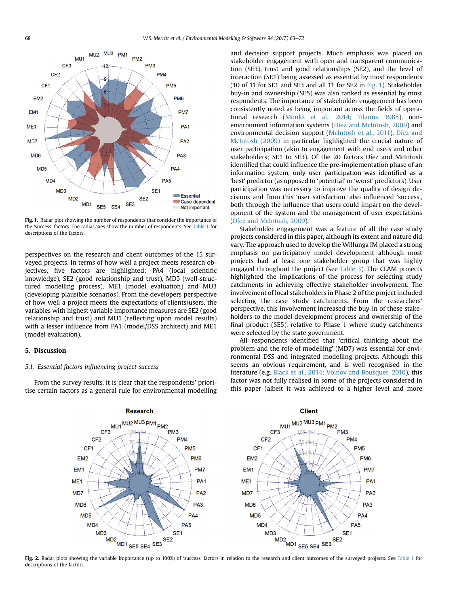<span id="page-5-0"></span>

Fig. 1. Radar plot showing the number of respondents that consider the importance of the 'success' factors. The radial axes show the number of respondents. See [Table 1](#page-2-0) for descriptions of the factors.

perspectives on the research and client outcomes of the 15 surveyed projects. In terms of how well a project meets research objectives, five factors are highlighted: PA4 (local scientific knowledge), SE2 (good relationship and trust), MD5 (well-structured modelling process), ME1 (model evaluation) and MU3 (developing plausible scenarios). From the developers perspective of how well a project meets the expectations of clients/users, the variables with highest variable importance measures are SE2 (good relationship and trust) and MU1 (reflecting upon model results) with a lesser influence from PA1 (model/DSS architect) and ME1 (model evaluation).

## 5. Discussion

## 5.1. Essential factors influencing project success

From the survey results, it is clear that the respondents' prioritise certain factors as a general rule for environmental modelling and decision support projects. Much emphasis was placed on stakeholder engagement with open and transparent communication (SE3), trust and good relationships (SE2), and the level of interaction (SE1) being assessed as essential by most respondents (10 of 11 for SE1 and SE3 and all 11 for SE2 in Fig. 1). Stakeholder buy-in and ownership (SE5) was also ranked as essential by most respondents. The importance of stakeholder engagement has been consistently noted as being important across the fields of operational research [\(Monks et al., 2014; Tilanus, 1985](#page-9-0)), nonenvironment information systems [\(Díez and McIntosh, 2009\)](#page-8-0) and environmental decision support ([McIntosh et al., 2011\)](#page-9-0). [Díez and](#page-8-0) [McIntosh \(2009\)](#page-8-0) in particular highlighted the crucial nature of user participation (akin to engagement with end users and other stakeholders; SE1 to SE3). Of the 20 factors Díez and McIntosh identified that could influence the pre-implementation phase of an information system, only user participation was identified as a 'best' predictor (as opposed to 'potential' or 'worst' predictors). User participation was necessary to improve the quality of design decisions and from this 'user satisfaction' also influenced 'success', both through the influence that users could impart on the development of the system and the management of user expectations ([Díez and McIntosh, 2009](#page-8-0)).

Stakeholder engagement was a feature of all the case study projects considered in this paper, although its extent and nature did vary. The approach used to develop the Willunga IM placed a strong emphasis on participatory model development although most projects had at least one stakeholder group that was highly engaged throughout the project (see [Table 3\)](#page-4-0). The CLAM projects highlighted the implications of the process for selecting study catchments in achieving effective stakeholder involvement. The involvement of local stakeholders in Phase 2 of the project included selecting the case study catchments. From the researchers' perspective, this involvement increased the buy-in of these stakeholders to the model development process and ownership of the final product (SE5), relative to Phase 1 where study catchments were selected by the state government.

All respondents identified that 'critical thinking about the problem and the role of modelling' (MD7) was essential for environmental DSS and integrated modelling projects. Although this seems an obvious requirement, and is well recognised in the literature (e.g. [Black et al., 2014; Voinov and Bousquet, 2010](#page-8-0)), this factor was not fully realised in some of the projects considered in this paper (albeit it was achieved to a higher level and more



Fig. 2. Radar plots showing the variable importance (up to 100%) of 'success' factors in relation to the research and client outcomes of the surveyed projects. See [Table 1](#page-2-0) for descriptions of the factors.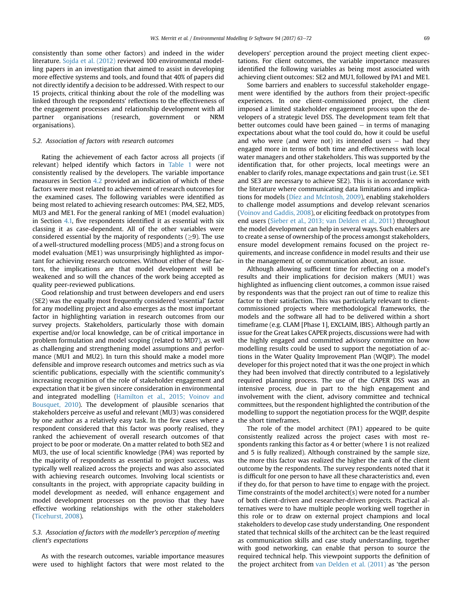consistently than some other factors) and indeed in the wider literature. [Sojda et al. \(2012\)](#page-9-0) reviewed 100 environmental modelling papers in an investigation that aimed to assist in developing more effective systems and tools, and found that 40% of papers did not directly identify a decision to be addressed. With respect to our 15 projects, critical thinking about the role of the modelling was linked through the respondents' reflections to the effectiveness of the engagement processes and relationship development with all partner organisations (research, government or NRM organisations).

### 5.2. Association of factors with research outcomes

Rating the achievement of each factor across all projects (if relevant) helped identify which factors in [Table 1](#page-2-0) were not consistently realised by the developers. The variable importance measures in Section [4.2](#page-4-0) provided an indication of which of these factors were most related to achievement of research outcomes for the examined cases. The following variables were identified as being most related to achieving research outcomes: PA4, SE2, MD5, MU3 and ME1. For the general ranking of ME1 (model evaluation) in Section [4.1,](#page-3-0) five respondents identified it as essential with six classing it as case-dependent. All of the other variables were considered essential by the majority of respondents  $(≥9)$ . The use of a well-structured modelling process (MD5) and a strong focus on model evaluation (ME1) was unsurprisingly highlighted as important for achieving research outcomes. Without either of these factors, the implications are that model development will be weakened and so will the chances of the work being accepted as quality peer-reviewed publications.

Good relationship and trust between developers and end users (SE2) was the equally most frequently considered 'essential' factor for any modelling project and also emerges as the most important factor in highlighting variation in research outcomes from our survey projects. Stakeholders, particularly those with domain expertise and/or local knowledge, can be of critical importance in problem formulation and model scoping (related to MD7), as well as challenging and strengthening model assumptions and performance (MU1 and MU2). In turn this should make a model more defensible and improve research outcomes and metrics such as via scientific publications, especially with the scientific community's increasing recognition of the role of stakeholder engagement and expectation that it be given sincere consideration in environmental and integrated modelling ([Hamilton et al., 2015; Voinov and](#page-8-0) [Bousquet, 2010\)](#page-8-0). The development of plausible scenarios that stakeholders perceive as useful and relevant (MU3) was considered by one author as a relatively easy task. In the few cases where a respondent considered that this factor was poorly realised, they ranked the achievement of overall research outcomes of that project to be poor or moderate. On a matter related to both SE2 and MU3, the use of local scientific knowledge (PA4) was reported by the majority of respondents as essential to project success, was typically well realized across the projects and was also associated with achieving research outcomes. Involving local scientists or consultants in the project, with appropriate capacity building in model development as needed, will enhance engagement and model development processes on the proviso that they have effective working relationships with the other stakeholders ([Ticehurst, 2008](#page-9-0)).

## 5.3. Association of factors with the modeller's perception of meeting client's expectations

As with the research outcomes, variable importance measures were used to highlight factors that were most related to the developers' perception around the project meeting client expectations. For client outcomes, the variable importance measures identified the following variables as being most associated with achieving client outcomes: SE2 and MU1, followed by PA1 and ME1.

Some barriers and enablers to successful stakeholder engagement were identified by the authors from their project-specific experiences. In one client-commissioned project, the client imposed a limited stakeholder engagement process upon the developers of a strategic level DSS. The development team felt that better outcomes could have been gained  $-$  in terms of managing expectations about what the tool could do, how it could be useful and who were (and were not) its intended users  $-$  had they engaged more in terms of both time and effectiveness with local water managers and other stakeholders. This was supported by the identification that, for other projects, local meetings were an enabler to clarify roles, manage expectations and gain trust (i.e. SE1 and SE3 are necessary to achieve SE2). This is in accordance with the literature where communicating data limitations and implications for models [\(Díez and McIntosh, 2009](#page-8-0)), enabling stakeholders to challenge model assumptions and develop relevant scenarios ([Voinov and Gaddis, 2008](#page-9-0)), or eliciting feedback on prototypes from end users [\(Sieber et al., 2013; van Delden et al., 2011\)](#page-9-0) throughout the model development can help in several ways. Such enablers are to create a sense of ownership of the process amongst stakeholders, ensure model development remains focused on the project requirements, and increase confidence in model results and their use in the management of, or communication about, an issue.

Although allowing sufficient time for reflecting on a model's results and their implications for decision makers (MU1) was highlighted as influencing client outcomes, a common issue raised by respondents was that the project ran out of time to realize this factor to their satisfaction. This was particularly relevant to clientcommissioned projects where methodological frameworks, the models and the software all had to be delivered within a short timeframe (e.g. CLAM [Phase 1], EXCLAIM, IBIS). Although partly an issue for the Great Lakes CAPER projects, discussions were had with the highly engaged and committed advisory committee on how modelling results could be used to support the negotiation of actions in the Water Quality Improvement Plan (WQIP). The model developer for this project noted that it was the one project in which they had been involved that directly contributed to a legislatively required planning process. The use of the CAPER DSS was an intensive process, due in part to the high engagement and involvement with the client, advisory committee and technical committees, but the respondent highlighted the contribution of the modelling to support the negotiation process for the WQIP, despite the short timeframes.

The role of the model architect (PA1) appeared to be quite consistently realized across the project cases with most respondents ranking this factor as 4 or better (where 1 is not realized and 5 is fully realized). Although constrained by the sample size, the more this factor was realized the higher the rank of the client outcome by the respondents. The survey respondents noted that it is difficult for one person to have all these characteristics and, even if they do, for that person to have time to engage with the project. Time constraints of the model architect(s) were noted for a number of both client-driven and researcher-driven projects. Practical alternatives were to have multiple people working well together in this role or to draw on external project champions and local stakeholders to develop case study understanding. One respondent stated that technical skills of the architect can be the least required as communication skills and case study understanding, together with good networking, can enable that person to source the required technical help. This viewpoint supports the definition of the project architect from [van Delden et al. \(2011\)](#page-9-0) as 'the person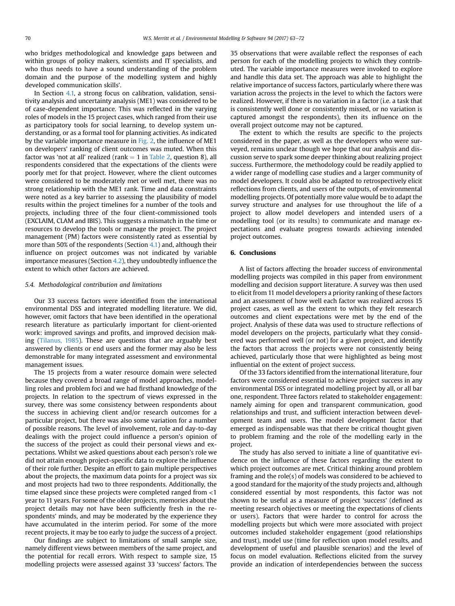who bridges methodological and knowledge gaps between and within groups of policy makers, scientists and IT specialists, and who thus needs to have a sound understanding of the problem domain and the purpose of the modelling system and highly developed communication skills'.

In Section [4.1,](#page-3-0) a strong focus on calibration, validation, sensitivity analysis and uncertainty analysis (ME1) was considered to be of case-dependent importance. This was reflected in the varying roles of models in the 15 project cases, which ranged from their use as participatory tools for social learning, to develop system understanding, or as a formal tool for planning activities. As indicated by the variable importance measure in [Fig. 2](#page-5-0), the influence of ME1 on developers' ranking of client outcomes was muted. When this factor was 'not at all' realized (rank  $= 1$  in [Table 2,](#page-2-0) question 8), all respondents considered that the expectations of the clients were poorly met for that project. However, where the client outcomes were considered to be moderately met or well met, there was no strong relationship with the ME1 rank. Time and data constraints were noted as a key barrier to assessing the plausibility of model results within the project timelines for a number of the tools and projects, including three of the four client-commissioned tools (EXCLAIM, CLAM and IBIS). This suggests a mismatch in the time or resources to develop the tools or manage the project. The project management (PM) factors were consistently rated as essential by more than 50% of the respondents (Section [4.1\)](#page-3-0) and, although their influence on project outcomes was not indicated by variable importance measures (Section [4.2\)](#page-4-0), they undoubtedly influence the extent to which other factors are achieved.

## 5.4. Methodological contribution and limitations

Our 33 success factors were identified from the international environmental DSS and integrated modelling literature. We did, however, omit factors that have been identified in the operational research literature as particularly important for client-oriented work: improved savings and profits, and improved decision making [\(Tilanus, 1985](#page-9-0)). These are questions that are arguably best answered by clients or end users and the former may also be less demonstrable for many integrated assessment and environmental management issues.

The 15 projects from a water resource domain were selected because they covered a broad range of model approaches, modelling roles and problem foci and we had firsthand knowledge of the projects. In relation to the spectrum of views expressed in the survey, there was some consistency between respondents about the success in achieving client and/or research outcomes for a particular project, but there was also some variation for a number of possible reasons. The level of involvement, role and day-to-day dealings with the project could influence a person's opinion of the success of the project as could their personal views and expectations. Whilst we asked questions about each person's role we did not attain enough project-specific data to explore the influence of their role further. Despite an effort to gain multiple perspectives about the projects, the maximum data points for a project was six and most projects had two to three respondents. Additionally, the time elapsed since these projects were completed ranged from <1 year to 11 years. For some of the older projects, memories about the project details may not have been sufficiently fresh in the respondents' minds, and may be moderated by the experience they have accumulated in the interim period. For some of the more recent projects, it may be too early to judge the success of a project.

Our findings are subject to limitations of small sample size, namely different views between members of the same project, and the potential for recall errors. With respect to sample size, 15 modelling projects were assessed against 33 'success' factors. The 35 observations that were available reflect the responses of each person for each of the modelling projects to which they contributed. The variable importance measures were invoked to explore and handle this data set. The approach was able to highlight the relative importance of success factors, particularly where there was variation across the projects in the level to which the factors were realized. However, if there is no variation in a factor (i.e. a task that is consistently well done or consistently missed, or no variation is captured amongst the respondents), then its influence on the overall project outcome may not be captured.

The extent to which the results are specific to the projects considered in the paper, as well as the developers who were surveyed, remains unclear though we hope that our analysis and discussion serve to spark some deeper thinking about realizing project success. Furthermore, the methodology could be readily applied to a wider range of modelling case studies and a larger community of model developers. It could also be adapted to retrospectively elicit reflections from clients, and users of the outputs, of environmental modelling projects. Of potentially more value would be to adapt the survey structure and analyses for use throughout the life of a project to allow model developers and intended users of a modelling tool (or its results) to communicate and manage expectations and evaluate progress towards achieving intended project outcomes.

## 6. Conclusions

A list of factors affecting the broader success of environmental modelling projects was compiled in this paper from environment modelling and decision support literature. A survey was then used to elicit from 11 model developers a priority ranking of these factors and an assessment of how well each factor was realized across 15 project cases, as well as the extent to which they felt research outcomes and client expectations were met by the end of the project. Analysis of these data was used to structure reflections of model developers on the projects, particularly what they considered was performed well (or not) for a given project, and identify the factors that across the projects were not consistently being achieved, particularly those that were highlighted as being most influential on the extent of project success.

Of the 33 factors identified from the international literature, four factors were considered essential to achieve project success in any environmental DSS or integrated modelling project by all, or all bar one, respondent. Three factors related to stakeholder engagement: namely aiming for open and transparent communication, good relationships and trust, and sufficient interaction between development team and users. The model development factor that emerged as indispensable was that there be critical thought given to problem framing and the role of the modelling early in the project.

The study has also served to initiate a line of quantitative evidence on the influence of these factors regarding the extent to which project outcomes are met. Critical thinking around problem framing and the role(s) of models was considered to be achieved to a good standard for the majority of the study projects and, although considered essential by most respondents, this factor was not shown to be useful as a measure of project 'success' (defined as meeting research objectives or meeting the expectations of clients or users). Factors that were harder to control for across the modelling projects but which were more associated with project outcomes included stakeholder engagement (good relationships and trust), model use (time for reflection upon model results, and development of useful and plausible scenarios) and the level of focus on model evaluation. Reflections elicited from the survey provide an indication of interdependencies between the success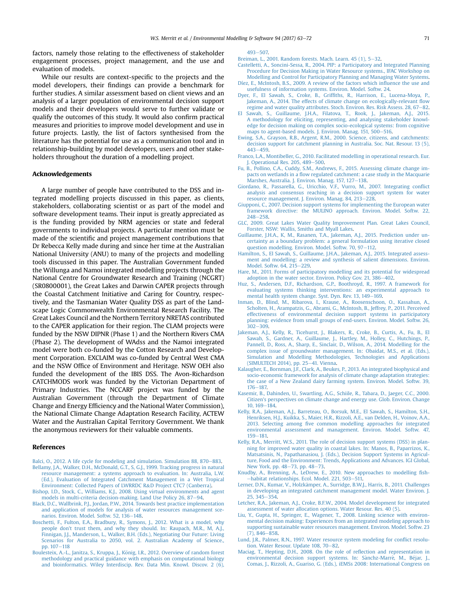<span id="page-8-0"></span>factors, namely those relating to the effectiveness of stakeholder engagement processes, project management, and the use and evaluation of models.

While our results are context-specific to the projects and the model developers, their findings can provide a benchmark for further studies. A similar assessment based on client views and an analysis of a larger population of environmental decision support models and their developers would serve to further validate or qualify the outcomes of this study. It would also confirm practical measures and priorities to improve model development and use in future projects. Lastly, the list of factors synthesised from the literature has the potential for use as a communication tool and in relationship-building by model developers, users and other stakeholders throughout the duration of a modelling project.

#### Acknowledgements

A large number of people have contributed to the DSS and integrated modelling projects discussed in this paper, as clients, stakeholders, collaborating scientist or as part of the model and software development teams. Their input is greatly appreciated as is the funding provided by NRM agencies or state and federal governments to individual projects. A particular mention must be made of the scientific and project management contributions that Dr Rebecca Kelly made during and since her time at the Australian National University (ANU) to many of the projects and modelling tools discussed in this paper. The Australian Government funded the Willunga and Namoi integrated modelling projects through the National Centre for Groundwater Research and Training (NCGRT) (SR0800001), the Great Lakes and Darwin CAPER projects through the Coastal Catchment Initiative and Caring for Country, respectively, and the Tasmanian Water Quality DSS as part of the Landscape Logic Commonwealth Environmental Research Facility. The Great Lakes Council and the Northern Territory NRETAS contributed to the CAPER application for their region. The CLAM projects were funded by the NSW DIPNR (Phase 1) and the Northern Rivers CMA (Phase 2). The development of WAdss and the Namoi integrated model were both co-funded by the Cotton Research and Development Corporation. EXCLAIM was co-funded by Central West CMA and the NSW Office of Environment and Heritage. NSW OEH also funded the development of the IBIS DSS. The Avon-Richardson CATCHMODS work was funded by the Victorian Department of Primary Industries. The NCCARF project was funded by the Australian Government (through the Department of Climate Change and Energy Efficiency and the National Water Commission), the National Climate Change Adaptation Research Facility, ACTEW Water and the Australian Capital Territory Government. We thank the anonymous reviewers for their valuable comments.

#### References

[Balci, O., 2012. A life cycle for modeling and simulation. Simulation 88, 870](http://refhub.elsevier.com/S1364-8152(17)30320-1/sref1)-[883.](http://refhub.elsevier.com/S1364-8152(17)30320-1/sref1)

- [Bellamy, J.A., Walker, D.H., McDonald, G.T., S, G.J., 1999. Tracking progress in natural](http://refhub.elsevier.com/S1364-8152(17)30320-1/sref2) [resource management: a systems approach to evaluation. In: Australia, L.W.](http://refhub.elsevier.com/S1364-8152(17)30320-1/sref2) [\(Ed.\), Evaluation of Integrated Catchment Management in a Wet Tropical](http://refhub.elsevier.com/S1364-8152(17)30320-1/sref2) [Environment: Collected Papers of LWRRDC R](http://refhub.elsevier.com/S1364-8152(17)30320-1/sref2)&[D Project CTC7 \(Canberra\).](http://refhub.elsevier.com/S1364-8152(17)30320-1/sref2)
- [Bishop, I.D., Stock, C., Williams, K.J., 2008. Using virtual environments and agent](http://refhub.elsevier.com/S1364-8152(17)30320-1/sref3) [models in multi-criteria decision-making. Land Use Policy 26, 87](http://refhub.elsevier.com/S1364-8152(17)30320-1/sref3)-[94](http://refhub.elsevier.com/S1364-8152(17)30320-1/sref3).
- [Black, D.C., Wallbrink, P.J., Jordan, P.W., 2014. Towards best practice implementation](http://refhub.elsevier.com/S1364-8152(17)30320-1/sref4) [and application of models for analysis of water resources management sce](http://refhub.elsevier.com/S1364-8152(17)30320-1/sref4)[narios. Environ. Model. Softw. 52, 136](http://refhub.elsevier.com/S1364-8152(17)30320-1/sref4)-[148.](http://refhub.elsevier.com/S1364-8152(17)30320-1/sref4)
- [Boschetti, F., Fulton, E.A., Bradbury, R., Symons, J., 2012. What is a model, why](http://refhub.elsevier.com/S1364-8152(17)30320-1/sref5) [people don't trust them, and why they should. In: Raupach, M.R., M, A.J.,](http://refhub.elsevier.com/S1364-8152(17)30320-1/sref5) [Finnigan, J.J., Manderson, L., Walker, B.H. \(Eds.\), Negotiating Our Future: Living](http://refhub.elsevier.com/S1364-8152(17)30320-1/sref5) [Scenarios for Australia to 2050, vol. 2. Australian Academy of Science.,](http://refhub.elsevier.com/S1364-8152(17)30320-1/sref5) [pp. 107](http://refhub.elsevier.com/S1364-8152(17)30320-1/sref5)-[118](http://refhub.elsevier.com/S1364-8152(17)30320-1/sref5)
- Boulesteix, A.-L., Janitza, S., Kruppa, J., König, I.R., 2012. Overview of random forest [methodology and practical guidance with emphasis on computational biology](http://refhub.elsevier.com/S1364-8152(17)30320-1/sref6) [and bioinformatics. Wiley Interdiscip. Rev. Data Min. Knowl. Discov. 2 \(6\),](http://refhub.elsevier.com/S1364-8152(17)30320-1/sref6)

[493](http://refhub.elsevier.com/S1364-8152(17)30320-1/sref6)-507

- Breiman, L., 2001. Random forests. Mach. Learn.  $45(1)$ ,  $5-32$  $5-32$ .
- [Castelletti, A., Soncini-Sessa, R., 2004. PIP: a Participatory and Integrated Planning](http://refhub.elsevier.com/S1364-8152(17)30320-1/sref8) [Procedure for Decision Making in Water Resource systems., IFAC Workshop on](http://refhub.elsevier.com/S1364-8152(17)30320-1/sref8) [Modelling and Control for Participatory Planning and Managing Water Systems](http://refhub.elsevier.com/S1364-8152(17)30320-1/sref8).
- [Díez, E., McIntosh, B.S., 2009. A review of the factors which in](http://refhub.elsevier.com/S1364-8152(17)30320-1/sref9)fluence the use and [usefulness of information systems. Environ. Model. Softw. 24](http://refhub.elsevier.com/S1364-8152(17)30320-1/sref9).
- Dyer, F., El Sawah, S., Croke, B., Griffi[ths, R., Harrison, E., Lucena-Moya, P.,](http://refhub.elsevier.com/S1364-8152(17)30320-1/sref10) [Jakeman, A., 2014. The effects of climate change on ecologically-relevant](http://refhub.elsevier.com/S1364-8152(17)30320-1/sref10) flow [regime and water quality attributes. Stoch. Environ. Res. Risk Assess. 28, 67](http://refhub.elsevier.com/S1364-8152(17)30320-1/sref10)–[82](http://refhub.elsevier.com/S1364-8152(17)30320-1/sref10).
- [El Sawah, S., Guillaume, J.H.A., Filatova, T., Rook, J., Jakeman, A.J., 2015.](http://refhub.elsevier.com/S1364-8152(17)30320-1/sref11) [A methodology for eliciting, representing, and analysing stakeholder knowl](http://refhub.elsevier.com/S1364-8152(17)30320-1/sref11)[edge for decision making on complex socio-ecological systems: from cognitive](http://refhub.elsevier.com/S1364-8152(17)30320-1/sref11) [maps to agent-based models. J. Environ. Manag. 151, 500](http://refhub.elsevier.com/S1364-8152(17)30320-1/sref11)-[516.](http://refhub.elsevier.com/S1364-8152(17)30320-1/sref11)
- [Ewing, S.A., Grayson, R.B., Argent, R.M., 2000. Science, citizens, and catchments:](http://refhub.elsevier.com/S1364-8152(17)30320-1/sref12) [decision support for catchment planning in Australia. Soc. Nat. Resour. 13 \(5\),](http://refhub.elsevier.com/S1364-8152(17)30320-1/sref12) [443](http://refhub.elsevier.com/S1364-8152(17)30320-1/sref12)-[459](http://refhub.elsevier.com/S1364-8152(17)30320-1/sref12)
- [Franco, L.A., Montibeller, G., 2010. Facilitated modelling in operational research. Eur.](http://refhub.elsevier.com/S1364-8152(17)30320-1/sref13) I. Operational Res.  $205, 489 - 500$  $205, 489 - 500$ .
- [Fu, B., Pollino, C.A., Cuddy, S.M., Andrews, F., 2015. Assessing climate change im](http://refhub.elsevier.com/S1364-8152(17)30320-1/sref14)pacts on wetlands in a fl[ow regulated catchment: a case study in the Macquarie](http://refhub.elsevier.com/S1364-8152(17)30320-1/sref14) [Marshes, Australia. J. Environ. Manag. 157, 127](http://refhub.elsevier.com/S1364-8152(17)30320-1/sref14)-[138](http://refhub.elsevier.com/S1364-8152(17)30320-1/sref14).
- [Giordano, R., Passarella, G., Uricchio, V.F., Vurro, M., 2007. Integrating con](http://refhub.elsevier.com/S1364-8152(17)30320-1/sref15)flict [analysis and consensus reaching in a decision support system for water](http://refhub.elsevier.com/S1364-8152(17)30320-1/sref15) [resource management. J. Environ. Manag. 84, 213](http://refhub.elsevier.com/S1364-8152(17)30320-1/sref15)-[228.](http://refhub.elsevier.com/S1364-8152(17)30320-1/sref15)
- [Giupponi, C., 2007. Decision support systems for implementing the European water](http://refhub.elsevier.com/S1364-8152(17)30320-1/sref16) [framework directive: the MULINO approach. Environ. Model. Softw. 22,](http://refhub.elsevier.com/S1364-8152(17)30320-1/sref16)  $248 - 258$  $248 - 258$  $248 - 258$
- [GLC, 2009. Great Lakes Water Quality Improvement Plan. Great Lakes Council,](http://refhub.elsevier.com/S1364-8152(17)30320-1/sref17) [Forster, NSW: Wallis, Smiths and Myall Lakes.](http://refhub.elsevier.com/S1364-8152(17)30320-1/sref17)
- [Guillaume, J.H.A., K, M., Rasanen, T.A., Jakeman, A.J., 2015. Prediction under un](http://refhub.elsevier.com/S1364-8152(17)30320-1/sref18)[certainty as a boundary problem: a general formulation using iterative closed](http://refhub.elsevier.com/S1364-8152(17)30320-1/sref18) [question modelling. Environ. Model. Softw. 70, 97](http://refhub.elsevier.com/S1364-8152(17)30320-1/sref18)-[112](http://refhub.elsevier.com/S1364-8152(17)30320-1/sref18).
- [Hamilton, S., El Sawah, S., Guillaume, J.H.A., Jakeman, A.J., 2015. Integrated assess](http://refhub.elsevier.com/S1364-8152(17)30320-1/sref19)[ment and modelling: a review and synthesis of salient dimensions. Environ.](http://refhub.elsevier.com/S1364-8152(17)30320-1/sref19) [Model. Softw. 64, 215](http://refhub.elsevier.com/S1364-8152(17)30320-1/sref19)-[229.](http://refhub.elsevier.com/S1364-8152(17)30320-1/sref19)
- [Hare, M., 2011. Forms of participatory modelling and its potential for widespread](http://refhub.elsevier.com/S1364-8152(17)30320-1/sref20) [adoption in the water sector. Environ. Policy Gov. 21, 386](http://refhub.elsevier.com/S1364-8152(17)30320-1/sref20)-[402](http://refhub.elsevier.com/S1364-8152(17)30320-1/sref20).
- [Huz, S., Andersen, D.F., Richardson, G.P., Boothroyd, R., 1997. A framework for](http://refhub.elsevier.com/S1364-8152(17)30320-1/sref21) [evaluating systems thinking interventions: an experimental approach to](http://refhub.elsevier.com/S1364-8152(17)30320-1/sref21) [mental health system change. Syst. Dyn. Rev. 13, 149](http://refhub.elsevier.com/S1364-8152(17)30320-1/sref21)-[169](http://refhub.elsevier.com/S1364-8152(17)30320-1/sref21).
- [Inman, D., Blind, M., Ribarova, I., Krause, A., Roosenschoon, O., Kassahun, A.,](http://refhub.elsevier.com/S1364-8152(17)30320-1/sref22) [Scholten, H., Arampatzis, G., Abrami, G., McIntosh, B., Jeffrey, P., 2011. Perceived](http://refhub.elsevier.com/S1364-8152(17)30320-1/sref22) [effectiveness of environmental decision support systems in participatory](http://refhub.elsevier.com/S1364-8152(17)30320-1/sref22) [planning: evidence from small groups of end-users. Environ. Model. Softw. 26,](http://refhub.elsevier.com/S1364-8152(17)30320-1/sref22)  $302 - 309$  $302 - 309$  $302 - 309$
- [Jakeman, A.J., Kelly, R., Ticehurst, J., Blakers, R., Croke, B., Curtis, A., Fu, B., El](http://refhub.elsevier.com/S1364-8152(17)30320-1/sref23) [Sawah, S., Gardner, A., Guillaume, J., Hartley, M., Holley, C., Hutchings, P.,](http://refhub.elsevier.com/S1364-8152(17)30320-1/sref23) [Pannell, D., Ross, A., Sharp, E., Sinclair, D., Wilson, A., 2014. Modelling for the](http://refhub.elsevier.com/S1364-8152(17)30320-1/sref23) [complex issue of groundwater management. In: Obaidat, M.S., et al. \(Eds.\),](http://refhub.elsevier.com/S1364-8152(17)30320-1/sref23) [Simulation and Modelling Methodologies, Technologies and Applications](http://refhub.elsevier.com/S1364-8152(17)30320-1/sref23) [\(SIMULTECH 2014\), pp. 25](http://refhub.elsevier.com/S1364-8152(17)30320-1/sref23)-[41. Vienna.](http://refhub.elsevier.com/S1364-8152(17)30320-1/sref23)
- [Kalaugher, E., Bornman, J.F., Clark, A., Beukes, P., 2013. An integrated biophysical and](http://refhub.elsevier.com/S1364-8152(17)30320-1/sref24) [socio-economic framework for analysis of climate change adaptation strategies:](http://refhub.elsevier.com/S1364-8152(17)30320-1/sref24) [the case of a New Zealand dairy farming system. Environ. Model. Softw. 39,](http://refhub.elsevier.com/S1364-8152(17)30320-1/sref24) [176](http://refhub.elsevier.com/S1364-8152(17)30320-1/sref24)-[187.](http://refhub.elsevier.com/S1364-8152(17)30320-1/sref24)
- [Kasemir, B., Dahinden, U., Swartling, A.G., Schiile, R., Tabara, D., Jaeger, C.C., 2000.](http://refhub.elsevier.com/S1364-8152(17)30320-1/sref25) [Citizen's perspectives on climate change and energy use. Glob. Environ. Change](http://refhub.elsevier.com/S1364-8152(17)30320-1/sref25)  $10, 169 - 184.$  $10, 169 - 184.$  $10, 169 - 184.$
- [Kelly, R.A., Jakeman, A.J., Barreteau, O., Borsuk, M.E., El Sawah, S., Hamilton, S.H.,](http://refhub.elsevier.com/S1364-8152(17)30320-1/sref26) [Henriksen, H.J., Kuikka, S., Maier, H.R., Rizzoli, A.E., van Delden, H., Voinov, A.A.,](http://refhub.elsevier.com/S1364-8152(17)30320-1/sref26) 2013. Selecting among fi[ve common modelling approaches for integrated](http://refhub.elsevier.com/S1364-8152(17)30320-1/sref26) [environmental assessment and management. Environ. Model. Softw. 47,](http://refhub.elsevier.com/S1364-8152(17)30320-1/sref26) [159](http://refhub.elsevier.com/S1364-8152(17)30320-1/sref26)-[181.](http://refhub.elsevier.com/S1364-8152(17)30320-1/sref26)
- [Kelly, R.A., Merritt, W.S., 2011. The role of decision support systems \(DSS\) in plan](http://refhub.elsevier.com/S1364-8152(17)30320-1/sref27)[ning for improved water quality in coastal lakes. In: Manos, B., Paparrizos, K.,](http://refhub.elsevier.com/S1364-8152(17)30320-1/sref27) [Matsatsinis, N., Papathanasiou, J. \(Eds.\), Decision Support Systems in Agricul](http://refhub.elsevier.com/S1364-8152(17)30320-1/sref27)[ture, Food and the Environment: Trends, Applications and Advances. IGI Global,](http://refhub.elsevier.com/S1364-8152(17)30320-1/sref27) [New York, pp. 48](http://refhub.elsevier.com/S1364-8152(17)30320-1/sref27)-[73, pp. 48](http://refhub.elsevier.com/S1364-8152(17)30320-1/sref27)-[73](http://refhub.elsevier.com/S1364-8152(17)30320-1/sref27).
- [Knudby, A., Brenning, A., LeDrew, E., 2010. New approaches to modelling](http://refhub.elsevier.com/S1364-8152(17)30320-1/sref28) fish-[habitat relationships. Ecol. Model. 221, 503](http://refhub.elsevier.com/S1364-8152(17)30320-1/sref28)-[511.](http://refhub.elsevier.com/S1364-8152(17)30320-1/sref28)
- [Lerner, D.N., Kumar, V., Holzk](http://refhub.elsevier.com/S1364-8152(17)30320-1/sref29)ä[mper, A., Surridge, B.W.J., Harris, B., 2011. Challenges](http://refhub.elsevier.com/S1364-8152(17)30320-1/sref29) [in developing an integrated catchment management model. Water Environ. J.](http://refhub.elsevier.com/S1364-8152(17)30320-1/sref29) [25, 345](http://refhub.elsevier.com/S1364-8152(17)30320-1/sref29)-[354](http://refhub.elsevier.com/S1364-8152(17)30320-1/sref29).
- [Letcher, R.A., Jakeman, A.J., Croke, B.F.W., 2004. Model development for integrated](http://refhub.elsevier.com/S1364-8152(17)30320-1/sref66) [assessment of water allocation options. Water Resour. Res. 40 \(5\).](http://refhub.elsevier.com/S1364-8152(17)30320-1/sref66)
- [Liu, Y., Gupta, H., Springer, E., Wagener, T., 2008. Linking science with environ](http://refhub.elsevier.com/S1364-8152(17)30320-1/sref30)[mental decision making: Experiences from an integrated modeling approach to](http://refhub.elsevier.com/S1364-8152(17)30320-1/sref30) [supporting sustainable water resources management. Environ. Model. Softw. 23](http://refhub.elsevier.com/S1364-8152(17)30320-1/sref30)  $(7)$ ,  $846 - 858$ .
- [Lund, J.R., Palmer, R.N., 1997. Water resource system modeling for con](http://refhub.elsevier.com/S1364-8152(17)30320-1/sref31)flict resolu[tion. Water Resour. Update 108, 70](http://refhub.elsevier.com/S1364-8152(17)30320-1/sref31)-[82.](http://refhub.elsevier.com/S1364-8152(17)30320-1/sref31)
- [Maciag, T., Hepting, D.H., 2008. On the role of re](http://refhub.elsevier.com/S1364-8152(17)30320-1/sref32)flection and representation in environmental decision support systems. In: Sànchz-Marrè, M., Béjar, J. [Comas, J., Rizzoli, A., Guariso, G. \(Eds.\), iEMSs 2008: International Congress on](http://refhub.elsevier.com/S1364-8152(17)30320-1/sref32)